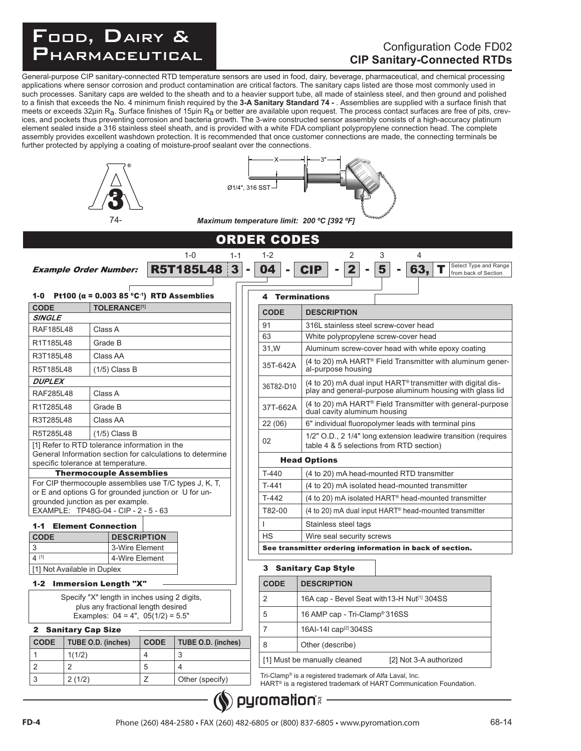## FOOD, DAIRY Food, Dairy & PHARMACEUTICAL

### Configuration Code FD02 **CIP Sanitary-Connected RTDs**

General-purpose CIP sanitary-connected RTD temperature sensors are used in food, dairy, beverage, pharmaceutical, and chemical processing applications where sensor corrosion and product contamination are critical factors. The sanitary caps listed are those most commonly used in such processes. Sanitary caps are welded to the sheath and to a heavier support tube, all made of stainless steel, and then ground and polished to a finish that exceeds the No. 4 minimum finish required by the **3-A Sanitary Standard 74 -** . Assemblies are supplied with a surface finish that meets or exceeds 32µin R<sub>a</sub>. Surface finishes of 15µin R<sub>a</sub> or better are available upon request. The process contact surfaces are free of pits, crevices, and pockets thus preventing corrosion and bacteria growth. The 3-wire constructed sensor assembly consists of a high-accuracy platinum element sealed inside a 316 stainless steel sheath, and is provided with a white FDA compliant polypropylene connection head. The complete assembly provides excellent washdown protection. It is recommended that once customer connections are made, the connecting terminals be further protected by applying a coating of moisture-proof sealant over the connections.

|                              | 74-                                                                                                             |             |                                    | Ø1/4", 316 SST                 | Maximum temperature limit: 200 °C [392 °F]                                                                           |
|------------------------------|-----------------------------------------------------------------------------------------------------------------|-------------|------------------------------------|--------------------------------|----------------------------------------------------------------------------------------------------------------------|
|                              |                                                                                                                 |             |                                    |                                |                                                                                                                      |
|                              |                                                                                                                 |             |                                    | <b>ORDER CODES</b>             |                                                                                                                      |
|                              |                                                                                                                 |             | $1 - 0$<br>$1 - 1$                 | $1 - 2$                        | $\overline{2}$<br>3<br>4                                                                                             |
|                              | <b>Example Order Number:</b>                                                                                    |             | 3 <sup>1</sup><br><b>R5T185L48</b> | 04<br>$\sim$<br>$\blacksquare$ | Select Type and Range<br>$\overline{\mathbf{2}}$<br><b>CIP</b><br>5<br>63,<br>$\blacksquare$<br>from back of Section |
|                              | 1-0 Pt100 ( $\alpha$ = 0.003 85 °C <sup>-1</sup> ) RTD Assemblies                                               |             |                                    | 4                              | <b>Terminations</b>                                                                                                  |
| <b>CODE</b><br><b>SINGLE</b> | <b>TOLERANCE<sup>[1]</sup></b>                                                                                  |             |                                    | <b>CODE</b>                    | <b>DESCRIPTION</b>                                                                                                   |
| <b>RAF185L48</b>             | Class A                                                                                                         |             |                                    | 91                             | 316L stainless steel screw-cover head                                                                                |
| R1T185L48                    | Grade B                                                                                                         |             |                                    | 63                             | White polypropylene screw-cover head                                                                                 |
| R3T185L48                    | Class AA                                                                                                        |             |                                    | 31, W                          | Aluminum screw-cover head with white epoxy coating                                                                   |
| R5T185L48                    | $(1/5)$ Class B                                                                                                 |             |                                    | 35T-642A                       | (4 to 20) mA HART <sup>®</sup> Field Transmitter with aluminum gener-<br>al-purpose housing                          |
| <b>DUPLEX</b>                |                                                                                                                 |             |                                    |                                | (4 to 20) mA dual input HART <sup>®</sup> transmitter with digital dis-                                              |
| RAF285L48                    | Class A                                                                                                         |             |                                    | 36T82-D10                      | play and general-purpose aluminum housing with glass lid                                                             |
| R1T285L48                    | Grade B                                                                                                         |             |                                    | 37T-662A                       | (4 to 20) mA HART <sup>®</sup> Field Transmitter with general-purpose<br>dual cavity aluminum housing                |
| R3T285L48                    | Class AA                                                                                                        |             |                                    | 22(06)                         | 6" individual fluoropolymer leads with terminal pins                                                                 |
| R5T285L48                    | $(1/5)$ Class B                                                                                                 |             |                                    |                                | 1/2" O.D., 2 1/4" long extension leadwire transition (requires                                                       |
|                              | [1] Refer to RTD tolerance information in the                                                                   |             |                                    | 02                             | table 4 & 5 selections from RTD section)                                                                             |
|                              | General Information section for calculations to determine<br>specific tolerance at temperature.                 |             |                                    |                                | <b>Head Options</b>                                                                                                  |
|                              | <b>Thermocouple Assemblies</b>                                                                                  |             |                                    | $T-440$                        | (4 to 20) mA head-mounted RTD transmitter                                                                            |
|                              | For CIP thermocouple assemblies use T/C types J, K, T,<br>or E and options G for grounded junction or U for un- |             |                                    | $T-441$                        | (4 to 20) mA isolated head-mounted transmitter                                                                       |
|                              | grounded junction as per example.                                                                               |             |                                    | $T-442$                        | (4 to 20) mA isolated HART® head-mounted transmitter                                                                 |
|                              | EXAMPLE: TP48G-04 - CIP - 2 - 5 - 63                                                                            |             |                                    | T82-00                         | (4 to 20) mA dual input HART <sup>®</sup> head-mounted transmitter                                                   |
| $1 - 1$                      | <b>Element Connection</b>                                                                                       |             |                                    |                                | Stainless steel tags                                                                                                 |
| <b>CODE</b>                  | <b>DESCRIPTION</b>                                                                                              |             |                                    | <b>HS</b>                      | Wire seal security screws                                                                                            |
| 3<br>4 [1]                   | 3-Wire Element<br>4-Wire Element                                                                                |             |                                    |                                | See transmitter ordering information in back of section.                                                             |
|                              | [1] Not Available in Duplex                                                                                     |             |                                    |                                | 3 Sanitary Cap Style                                                                                                 |
|                              | 1-2 Immersion Length "X"                                                                                        |             |                                    | <b>CODE</b>                    | <b>DESCRIPTION</b>                                                                                                   |
|                              | Specify "X" length in inches using 2 digits,                                                                    |             |                                    | 2                              | 16A cap - Bevel Seat with 13-H Nut <sup>[1]</sup> 304SS                                                              |
|                              | plus any fractional length desired                                                                              |             |                                    | 5                              | 16 AMP cap - Tri-Clamp® 316SS                                                                                        |
|                              | Examples: $04 = 4$ ", $05(1/2) = 5.5$ "                                                                         |             |                                    |                                |                                                                                                                      |
| <b>CODE</b>                  | 2 Sanitary Cap Size                                                                                             | <b>CODE</b> |                                    | $\overline{7}$                 | 16AI-14I cap <sup>[2]</sup> 304SS                                                                                    |
| $\mathbf{1}$                 | TUBE O.D. (inches)<br>1(1/2)                                                                                    | 4           | <b>TUBE O.D. (inches)</b><br>3     | 8                              | Other (describe)                                                                                                     |
| 2                            | $\overline{2}$                                                                                                  | 5           | $\overline{4}$                     |                                | [1] Must be manually cleaned<br>[2] Not 3-A authorized                                                               |
| 3                            | 2(1/2)                                                                                                          | Ζ           | Other (specify)                    |                                | Tri-Clamp® is a registered trademark of Alfa Laval, Inc.                                                             |
|                              |                                                                                                                 |             |                                    |                                | HART <sup>®</sup> is a registered trademark of HART Communication Foundation.                                        |

Phone (260) 484-2580 • FAX (260) 482-6805 or (800) 837-6805 • www.pyromation.com **FD-4** 68-14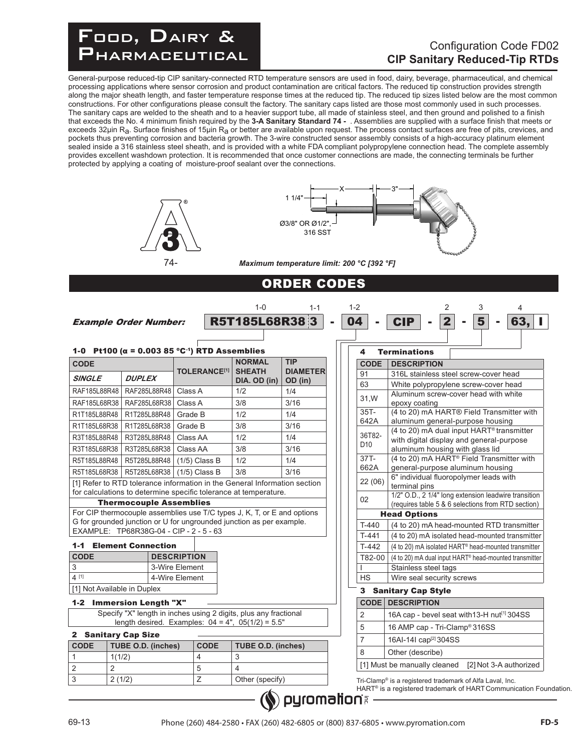

#### Configuration Code FD02 **CIP Sanitary Reduced-Tip RTDs**

General-purpose reduced-tip CIP sanitary-connected RTD temperature sensors are used in food, dairy, beverage, pharmaceutical, and chemical processing applications where sensor corrosion and product contamination are critical factors. The reduced tip construction provides strength along the major sheath length, and faster temperature response times at the reduced tip. The reduced tip sizes listed below are the most common constructions. For other configurations please consult the factory. The sanitary caps listed are those most commonly used in such processes. The sanitary caps are welded to the sheath and to a heavier support tube, all made of stainless steel, and then ground and polished to a finish that exceeds the No. 4 minimum finish required by the **3-A Sanitary Standard 74 -** . Assemblies are supplied with a surface finish that meets or exceeds 32µin R<sub>a</sub>. Surface finishes of 15µin R<sub>a</sub> or better are available upon request. The process contact surfaces are free of pits, crevices, and pockets thus preventing corrosion and bacteria growth. The 3-wire constructed sensor assembly consists of a high-accuracy platinum element sealed inside a 316 stainless steel sheath, and is provided with a white FDA compliant polypropylene connection head. The complete assembly provides excellent washdown protection. It is recommended that once customer connections are made, the connecting terminals be further protected by applying a coating of moisture-proof sealant over the connections.





1-0 1-2 2 3 4

*Maximum temperature limit: 200 °C [392 °F]*

## ORDER CODES

1-1

Example Order Number: R5T185L68R38 3 - 04 - CIP - 2 - 5 - 63, I

|                |                                         |                    |                     | 1-0 Pt100 ( $\alpha$ = 0.003 85 °C <sup>-1</sup> ) RTD Assemblies<br><b>NORMAL</b> | <b>TIP</b>      | 4               | <b>Terminations</b>                                                                               |
|----------------|-----------------------------------------|--------------------|---------------------|------------------------------------------------------------------------------------|-----------------|-----------------|---------------------------------------------------------------------------------------------------|
| <b>CODE</b>    |                                         |                    | <b>TOLERANCE[1]</b> | <b>SHEATH</b>                                                                      | <b>DIAMETER</b> | <b>CODE</b>     | <b>DESCRIPTION</b>                                                                                |
| <b>SINGLE</b>  | <b>DUPLEX</b>                           |                    |                     | DIA. OD (in)                                                                       | OD (in)         | 91              | 316L stainless steel screw-cover head                                                             |
| RAF185L88R48   | RAF285L88R48                            | Class A            |                     | 1/2                                                                                | 1/4             | 63              | White polypropylene screw-cover head<br>Aluminum screw-cover head with white                      |
| RAF185L68R38   | RAF285L68R38                            | Class A            |                     | 3/8                                                                                | 3/16            | 31, W           | epoxy coating                                                                                     |
| R1T185L88R48   | R1T285L88R48                            | Grade B            |                     | 1/2                                                                                | 1/4             | $35T -$         | (4 to 20) mA HART® Field Transmitter with                                                         |
| R1T185L68R38   | R1T285L68R38                            | Grade B            |                     | 3/8                                                                                | 3/16            | 642A            | aluminum general-purpose housing                                                                  |
| R3T185L88R48   | R3T285L88R48                            | Class AA           |                     | 1/2                                                                                | 1/4             | 36T82-          | (4 to 20) mA dual input HART <sup>®</sup> transmitter<br>with digital display and general-purpose |
| R3T185L68R38   | R3T285L68R38                            | Class AA           |                     | 3/8                                                                                | 3/16            | D <sub>10</sub> | aluminum housing with glass lid                                                                   |
| R5T185L88R48   | R5T285L88R48                            |                    | $(1/5)$ Class B     | 1/2                                                                                | 1/4             | $37T -$         | (4 to 20) mA HART <sup>®</sup> Field Transmitter with                                             |
| R5T185L68R38   | R5T285L68R38                            |                    | $(1/5)$ Class B     | 3/8                                                                                | 3/16            | 662A            | general-purpose aluminum housing                                                                  |
|                |                                         |                    |                     | [1] Refer to RTD tolerance information in the General Information section          |                 | 22(06)          | 6" individual fluoropolymer leads with<br>terminal pins                                           |
|                |                                         |                    |                     | for calculations to determine specific tolerance at temperature.                   |                 |                 | 1/2" O.D., 2 1/4" long extension leadwire transition                                              |
|                | <b>Thermocouple Assemblies</b>          |                    |                     |                                                                                    |                 | 02              | (requires table 5 & 6 selections from RTD section)                                                |
|                |                                         |                    |                     | For CIP thermocouple assemblies use T/C types J, K, T, or E and options            |                 |                 | <b>Head Options</b>                                                                               |
|                | EXAMPLE: TP68R38G-04 - CIP - 2 - 5 - 63 |                    |                     | G for grounded junction or U for ungrounded junction as per example.               |                 | T-440           | (4 to 20) mA head-mounted RTD transmitter                                                         |
|                |                                         |                    |                     |                                                                                    |                 | $T-441$         | (4 to 20) mA isolated head-mounted transmitter                                                    |
|                | <b>1-1 Element Connection</b>           |                    |                     |                                                                                    |                 | $T-442$         | (4 to 20) mA isolated HART <sup>®</sup> head-mounted transmitter                                  |
| <b>CODE</b>    |                                         | <b>DESCRIPTION</b> |                     |                                                                                    |                 | T82-00          | (4 to 20) mA dual input HART <sup>®</sup> head-mounted transmitter                                |
| 3              |                                         | 3-Wire Element     |                     |                                                                                    |                 |                 | Stainless steel tags                                                                              |
| $4^{[1]}$      |                                         | 4-Wire Element     |                     |                                                                                    |                 | <b>HS</b>       | Wire seal security screws                                                                         |
|                | [1] Not Available in Duplex             |                    |                     |                                                                                    |                 |                 | 3 Sanitary Cap Style                                                                              |
|                | 1-2 Immersion Length "X"                |                    |                     |                                                                                    |                 |                 | <b>CODE DESCRIPTION</b>                                                                           |
|                |                                         |                    |                     | Specify "X" length in inches using 2 digits, plus any fractional                   |                 | $\overline{2}$  | 16A cap - bevel seat with 13-H nut <sup>[1]</sup> 304SS                                           |
|                |                                         |                    |                     | length desired. Examples: $04 = 4$ ", $05(1/2) = 5.5$ "                            |                 | 5               | 16 AMP cap - Tri-Clamp <sup>®</sup> 316SS                                                         |
|                | 2 Sanitary Cap Size                     |                    |                     |                                                                                    |                 | $\overline{7}$  | 16AI-14I cap <sup>[2]</sup> 304SS                                                                 |
| <b>CODE</b>    | TUBE O.D. (inches)                      |                    | <b>CODE</b>         | <b>TUBE O.D. (inches)</b>                                                          |                 | 8               | Other (describe)                                                                                  |
| $\mathbf{1}$   | 1(1/2)                                  |                    | 4                   | 3                                                                                  |                 |                 | [1] Must be manually cleaned [2] Not 3-A authorized                                               |
| $\overline{2}$ | $\overline{2}$<br>2(1/2)                |                    | 5<br>Z              | 4<br>Other (specify)                                                               |                 |                 | Tri-Clamp® is a registered trademark of Alfa Laval, Inc.                                          |